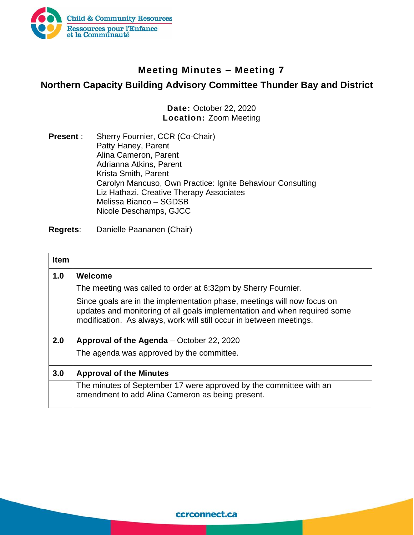

## **Meeting Minutes – Meeting 7**

## **Northern Capacity Building Advisory Committee Thunder Bay and District**

**Date:** October 22, 2020 **Location:** Zoom Meeting

**Present** : Sherry Fournier, CCR (Co-Chair) Patty Haney, Parent Alina Cameron, Parent Adrianna Atkins, Parent Krista Smith, Parent Carolyn Mancuso, Own Practice: Ignite Behaviour Consulting Liz Hathazi, Creative Therapy Associates Melissa Bianco – SGDSB Nicole Deschamps, GJCC

**Regrets**: Danielle Paananen (Chair)

| <b>Item</b> |                                                                                                                                                                                                                             |
|-------------|-----------------------------------------------------------------------------------------------------------------------------------------------------------------------------------------------------------------------------|
| 1.0         | Welcome                                                                                                                                                                                                                     |
|             | The meeting was called to order at 6:32pm by Sherry Fournier.                                                                                                                                                               |
|             | Since goals are in the implementation phase, meetings will now focus on<br>updates and monitoring of all goals implementation and when required some<br>modification. As always, work will still occur in between meetings. |
| 2.0         | Approval of the Agenda – October 22, 2020                                                                                                                                                                                   |
|             | The agenda was approved by the committee.                                                                                                                                                                                   |
| 3.0         | <b>Approval of the Minutes</b>                                                                                                                                                                                              |
|             | The minutes of September 17 were approved by the committee with an<br>amendment to add Alina Cameron as being present.                                                                                                      |

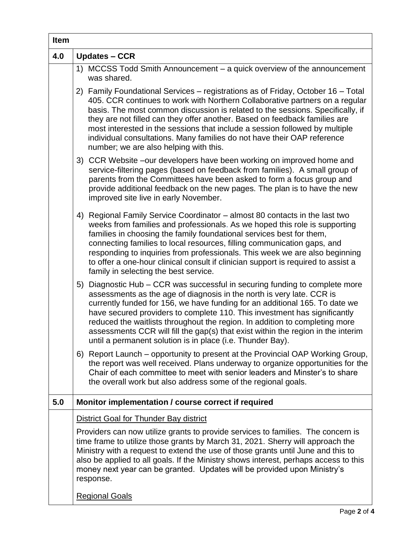| <b>Item</b> |                                                                                                                                                                                                                                                                                                                                                                                                                                                                                                                                                   |
|-------------|---------------------------------------------------------------------------------------------------------------------------------------------------------------------------------------------------------------------------------------------------------------------------------------------------------------------------------------------------------------------------------------------------------------------------------------------------------------------------------------------------------------------------------------------------|
| 4.0         | <b>Updates - CCR</b>                                                                                                                                                                                                                                                                                                                                                                                                                                                                                                                              |
|             | 1) MCCSS Todd Smith Announcement – a quick overview of the announcement<br>was shared.                                                                                                                                                                                                                                                                                                                                                                                                                                                            |
|             | 2) Family Foundational Services – registrations as of Friday, October 16 – Total<br>405. CCR continues to work with Northern Collaborative partners on a regular<br>basis. The most common discussion is related to the sessions. Specifically, if<br>they are not filled can they offer another. Based on feedback families are<br>most interested in the sessions that include a session followed by multiple<br>individual consultations. Many families do not have their OAP reference<br>number; we are also helping with this.              |
|             | 3) CCR Website –our developers have been working on improved home and<br>service-filtering pages (based on feedback from families). A small group of<br>parents from the Committees have been asked to form a focus group and<br>provide additional feedback on the new pages. The plan is to have the new<br>improved site live in early November.                                                                                                                                                                                               |
|             | 4) Regional Family Service Coordinator - almost 80 contacts in the last two<br>weeks from families and professionals. As we hoped this role is supporting<br>families in choosing the family foundational services best for them,<br>connecting families to local resources, filling communication gaps, and<br>responding to inquiries from professionals. This week we are also beginning<br>to offer a one-hour clinical consult if clinician support is required to assist a<br>family in selecting the best service.                         |
|             | 5) Diagnostic Hub – CCR was successful in securing funding to complete more<br>assessments as the age of diagnosis in the north is very late. CCR is<br>currently funded for 156, we have funding for an additional 165. To date we<br>have secured providers to complete 110. This investment has significantly<br>reduced the waitlists throughout the region. In addition to completing more<br>assessments CCR will fill the gap(s) that exist within the region in the interim<br>until a permanent solution is in place (i.e. Thunder Bay). |
|             | 6) Report Launch – opportunity to present at the Provincial OAP Working Group,<br>the report was well received. Plans underway to organize opportunities for the<br>Chair of each committee to meet with senior leaders and Minster's to share<br>the overall work but also address some of the regional goals.                                                                                                                                                                                                                                   |
| 5.0         | Monitor implementation / course correct if required                                                                                                                                                                                                                                                                                                                                                                                                                                                                                               |
|             | <b>District Goal for Thunder Bay district</b>                                                                                                                                                                                                                                                                                                                                                                                                                                                                                                     |
|             | Providers can now utilize grants to provide services to families. The concern is<br>time frame to utilize those grants by March 31, 2021. Sherry will approach the<br>Ministry with a request to extend the use of those grants until June and this to<br>also be applied to all goals. If the Ministry shows interest, perhaps access to this<br>money next year can be granted. Updates will be provided upon Ministry's<br>response.                                                                                                           |
|             | <b>Regional Goals</b>                                                                                                                                                                                                                                                                                                                                                                                                                                                                                                                             |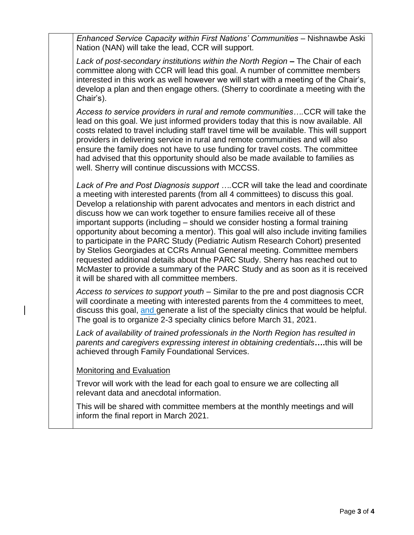*Enhanced Service Capacity within First Nations' Communities* – Nishnawbe Aski Nation (NAN) will take the lead, CCR will support.

*Lack of post-secondary institutions within the North Region* **–** The Chair of each committee along with CCR will lead this goal. A number of committee members interested in this work as well however we will start with a meeting of the Chair's, develop a plan and then engage others. (Sherry to coordinate a meeting with the Chair's).

*Access to service providers in rural and remote communities….*CCR will take the lead on this goal. We just informed providers today that this is now available. All costs related to travel including staff travel time will be available. This will support providers in delivering service in rural and remote communities and will also ensure the family does not have to use funding for travel costs. The committee had advised that this opportunity should also be made available to families as well. Sherry will continue discussions with MCCSS.

*Lack of Pre and Post Diagnosis support ….*CCR will take the lead and coordinate a meeting with interested parents (from all 4 committees) to discuss this goal. Develop a relationship with parent advocates and mentors in each district and discuss how we can work together to ensure families receive all of these important supports (including – should we consider hosting a formal training opportunity about becoming a mentor). This goal will also include inviting families to participate in the PARC Study (Pediatric Autism Research Cohort) presented by Stelios Georgiades at CCRs Annual General meeting. Committee members requested additional details about the PARC Study. Sherry has reached out to McMaster to provide a summary of the PARC Study and as soon as it is received it will be shared with all committee members.

*Access to services to support youth* – Similar to the pre and post diagnosis CCR will coordinate a meeting with interested parents from the 4 committees to meet, discuss this goal, and generate a list of the specialty clinics that would be helpful. The goal is to organize 2-3 specialty clinics before March 31, 2021.

*Lack of availability of trained professionals in the North Region has resulted in parents and caregivers expressing interest in obtaining credentials***….**this will be achieved through Family Foundational Services.

Monitoring and Evaluation

Trevor will work with the lead for each goal to ensure we are collecting all relevant data and anecdotal information.

This will be shared with committee members at the monthly meetings and will inform the final report in March 2021.